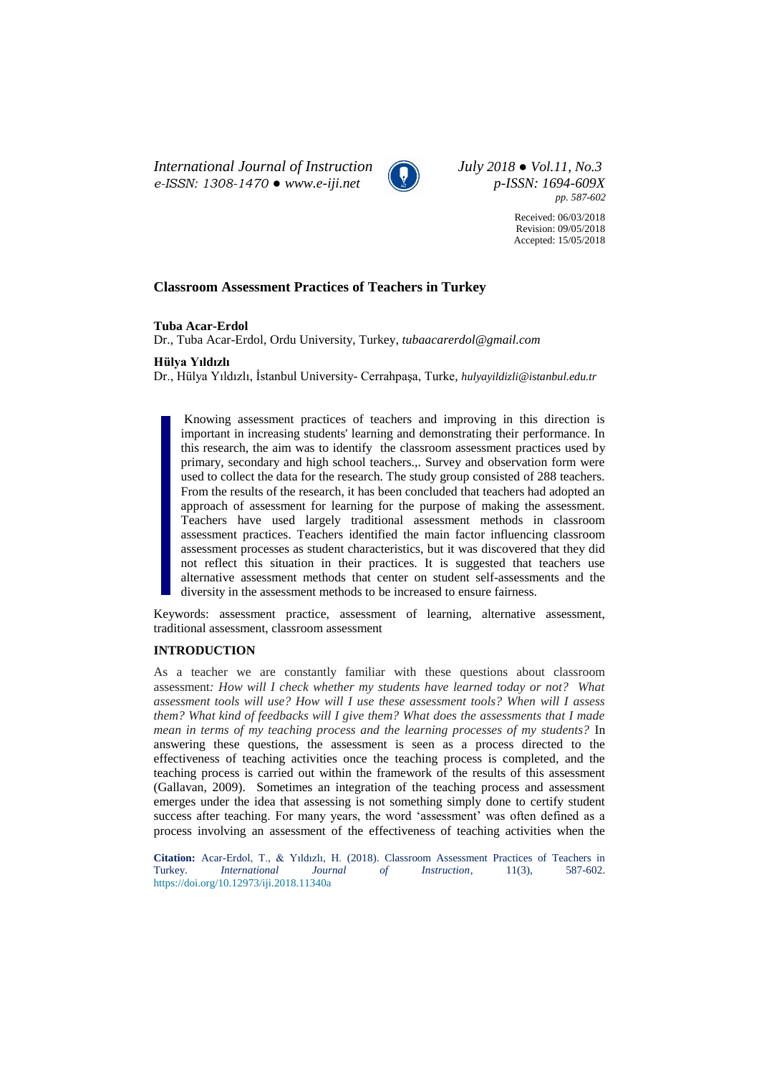*International Journal of Instruction July 2018 ● Vol.11, No.3 e-ISSN: 1308-1470 ● [www.e-iji.net](http://www.e-iji.net/) p-ISSN: 1694-609X*



*pp. 587-602*

Received: 06/03/2018 Revision: 09/05/2018 Accepted: 15/05/2018

# **Classroom Assessment Practices of Teachers in Turkey**

**Tuba Acar-Erdol**

Dr., Tuba Acar-Erdol, Ordu University, Turkey, *tubaacarerdol@gmail.com*

#### **Hülya Yıldızlı**

Dr., Hülya Yıldızlı, İstanbul University- Cerrahpaşa, Turke, *hulyayildizli@istanbul.edu.tr*

Knowing assessment practices of teachers and improving in this direction is important in increasing students' learning and demonstrating their performance. In this research, the aim was to identify the classroom assessment practices used by primary, secondary and high school teachers.,. Survey and observation form were used to collect the data for the research. The study group consisted of 288 teachers. From the results of the research, it has been concluded that teachers had adopted an approach of assessment for learning for the purpose of making the assessment. Teachers have used largely traditional assessment methods in classroom assessment practices. Teachers identified the main factor influencing classroom assessment processes as student characteristics, but it was discovered that they did not reflect this situation in their practices. It is suggested that teachers use alternative assessment methods that center on student self-assessments and the diversity in the assessment methods to be increased to ensure fairness.

Keywords: assessment practice, assessment of learning, alternative assessment, traditional assessment, classroom assessment

## **INTRODUCTION**

As a teacher we are constantly familiar with these questions about classroom assessment*: How will I check whether my students have learned today or not? What assessment tools will use? How will I use these assessment tools? When will I assess them? What kind of feedbacks will I give them? What does the assessments that I made mean in terms of my teaching process and the learning processes of my students?* In answering these questions, the assessment is seen as a process directed to the effectiveness of teaching activities once the teaching process is completed, and the teaching process is carried out within the framework of the results of this assessment (Gallavan, 2009). Sometimes an integration of the teaching process and assessment emerges under the idea that assessing is not something simply done to certify student success after teaching. For many years, the word 'assessment' was often defined as a process involving an assessment of the effectiveness of teaching activities when the

**Citation:** Acar-Erdol, T., & Yıldızlı, H. (2018). Classroom Assessment Practices of Teachers in Turkey. *International Journal of Instruction*, 11(3), 587-602. Turkey. *International Journal of Instruction*, 11(3), <https://doi.org/10.12973/iji.2018.11340a>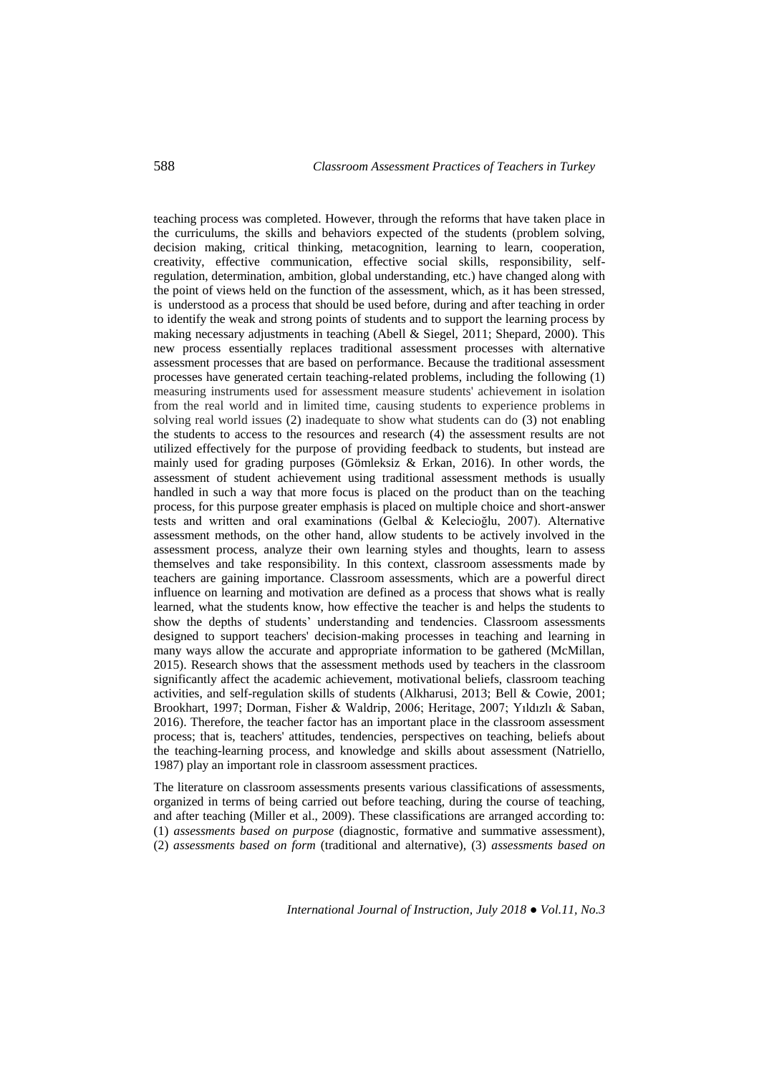teaching process was completed. However, through the reforms that have taken place in the curriculums, the skills and behaviors expected of the students (problem solving, decision making, critical thinking, metacognition, learning to learn, cooperation, creativity, effective communication, effective social skills, responsibility, selfregulation, determination, ambition, global understanding, etc.) have changed along with the point of views held on the function of the assessment, which, as it has been stressed, is understood as a process that should be used before, during and after teaching in order to identify the weak and strong points of students and to support the learning process by making necessary adjustments in teaching (Abell & Siegel, 2011; Shepard, 2000). This new process essentially replaces traditional assessment processes with alternative assessment processes that are based on performance. Because the traditional assessment processes have generated certain teaching-related problems, including the following (1) measuring instruments used for assessment measure students' achievement in isolation from the real world and in limited time, causing students to experience problems in solving real world issues (2) inadequate to show what students can do (3) not enabling the students to access to the resources and research (4) the assessment results are not utilized effectively for the purpose of providing feedback to students, but instead are mainly used for grading purposes (Gömleksiz & Erkan, 2016). In other words, the assessment of student achievement using traditional assessment methods is usually handled in such a way that more focus is placed on the product than on the teaching process, for this purpose greater emphasis is placed on multiple choice and short-answer tests and written and oral examinations (Gelbal & Kelecioğlu, 2007). Alternative assessment methods, on the other hand, allow students to be actively involved in the assessment process, analyze their own learning styles and thoughts, learn to assess themselves and take responsibility. In this context, classroom assessments made by teachers are gaining importance. Classroom assessments, which are a powerful direct influence on learning and motivation are defined as a process that shows what is really learned, what the students know, how effective the teacher is and helps the students to show the depths of students' understanding and tendencies. Classroom assessments designed to support teachers' decision-making processes in teaching and learning in many ways allow the accurate and appropriate information to be gathered (McMillan, 2015). Research shows that the assessment methods used by teachers in the classroom significantly affect the academic achievement, motivational beliefs, classroom teaching activities, and self-regulation skills of students (Alkharusi, 2013; Bell & Cowie, 2001; Brookhart, 1997; Dorman, Fisher & Waldrip, 2006; Heritage, 2007; Yıldızlı & Saban, 2016). Therefore, the teacher factor has an important place in the classroom assessment process; that is, teachers' attitudes, tendencies, perspectives on teaching, beliefs about the teaching-learning process, and knowledge and skills about assessment (Natriello, 1987) play an important role in classroom assessment practices.

The literature on classroom assessments presents various classifications of assessments, organized in terms of being carried out before teaching, during the course of teaching, and after teaching (Miller et al., 2009). These classifications are arranged according to: (1) *assessments based on purpose* (diagnostic, formative and summative assessment), (2) *assessments based on form* (traditional and alternative), (3) *assessments based on*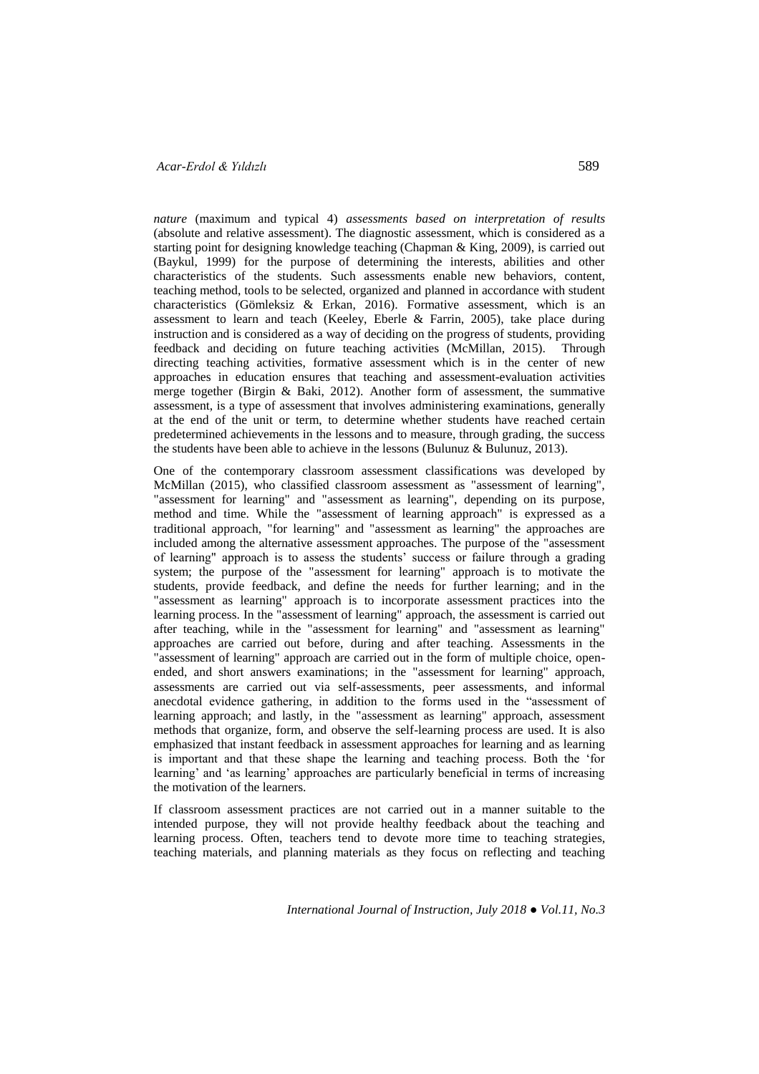## *Acar-Erdol & Yıldızlı* 589

*nature* (maximum and typical 4) *assessments based on interpretation of results* (absolute and relative assessment). The diagnostic assessment, which is considered as a starting point for designing knowledge teaching (Chapman & King, 2009), is carried out (Baykul, 1999) for the purpose of determining the interests, abilities and other characteristics of the students. Such assessments enable new behaviors, content, teaching method, tools to be selected, organized and planned in accordance with student characteristics (Gömleksiz & Erkan, 2016). Formative assessment, which is an assessment to learn and teach (Keeley, Eberle & Farrin, 2005), take place during instruction and is considered as a way of deciding on the progress of students, providing feedback and deciding on future teaching activities (McMillan, 2015). Through directing teaching activities, formative assessment which is in the center of new approaches in education ensures that teaching and assessment-evaluation activities merge together (Birgin & Baki, 2012). Another form of assessment, the summative assessment, is a type of assessment that involves administering examinations, generally at the end of the unit or term, to determine whether students have reached certain predetermined achievements in the lessons and to measure, through grading, the success the students have been able to achieve in the lessons (Bulunuz & Bulunuz, 2013).

One of the contemporary classroom assessment classifications was developed by McMillan (2015), who classified classroom assessment as "assessment of learning", "assessment for learning" and "assessment as learning", depending on its purpose, method and time. While the "assessment of learning approach" is expressed as a traditional approach, "for learning" and "assessment as learning" the approaches are included among the alternative assessment approaches. The purpose of the "assessment of learning" approach is to assess the students' success or failure through a grading system; the purpose of the "assessment for learning" approach is to motivate the students, provide feedback, and define the needs for further learning; and in the "assessment as learning" approach is to incorporate assessment practices into the learning process. In the "assessment of learning" approach, the assessment is carried out after teaching, while in the "assessment for learning" and "assessment as learning" approaches are carried out before, during and after teaching. Assessments in the "assessment of learning" approach are carried out in the form of multiple choice, openended, and short answers examinations; in the "assessment for learning" approach, assessments are carried out via self-assessments, peer assessments, and informal anecdotal evidence gathering, in addition to the forms used in the "assessment of learning approach; and lastly, in the "assessment as learning" approach, assessment methods that organize, form, and observe the self-learning process are used. It is also emphasized that instant feedback in assessment approaches for learning and as learning is important and that these shape the learning and teaching process. Both the 'for learning' and 'as learning' approaches are particularly beneficial in terms of increasing the motivation of the learners.

If classroom assessment practices are not carried out in a manner suitable to the intended purpose, they will not provide healthy feedback about the teaching and learning process. Often, teachers tend to devote more time to teaching strategies, teaching materials, and planning materials as they focus on reflecting and teaching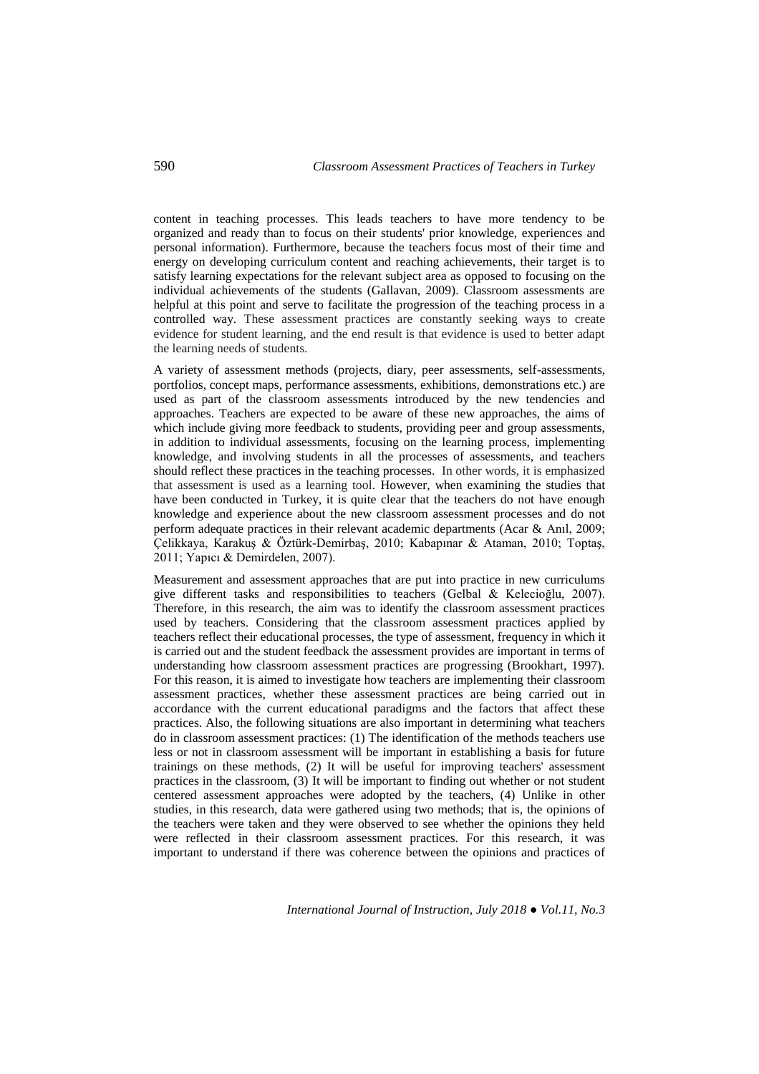content in teaching processes. This leads teachers to have more tendency to be organized and ready than to focus on their students' prior knowledge, experiences and personal information). Furthermore, because the teachers focus most of their time and energy on developing curriculum content and reaching achievements, their target is to satisfy learning expectations for the relevant subject area as opposed to focusing on the individual achievements of the students (Gallavan, 2009). Classroom assessments are helpful at this point and serve to facilitate the progression of the teaching process in a controlled way. These assessment practices are constantly seeking ways to create evidence for student learning, and the end result is that evidence is used to better adapt the learning needs of students.

A variety of assessment methods (projects, diary, peer assessments, self-assessments, portfolios, concept maps, performance assessments, exhibitions, demonstrations etc.) are used as part of the classroom assessments introduced by the new tendencies and approaches. Teachers are expected to be aware of these new approaches, the aims of which include giving more feedback to students, providing peer and group assessments, in addition to individual assessments, focusing on the learning process, implementing knowledge, and involving students in all the processes of assessments, and teachers should reflect these practices in the teaching processes. In other words, it is emphasized that assessment is used as a learning tool. However, when examining the studies that have been conducted in Turkey, it is quite clear that the teachers do not have enough knowledge and experience about the new classroom assessment processes and do not perform adequate practices in their relevant academic departments (Acar & Anıl, 2009; Çelikkaya, Karakuş & Öztürk-Demirbaş, 2010; Kabapınar & Ataman, 2010; Toptaş, 2011; Yapıcı & Demirdelen, 2007).

Measurement and assessment approaches that are put into practice in new curriculums give different tasks and responsibilities to teachers (Gelbal & Kelecioğlu, 2007). Therefore, in this research, the aim was to identify the classroom assessment practices used by teachers. Considering that the classroom assessment practices applied by teachers reflect their educational processes, the type of assessment, frequency in which it is carried out and the student feedback the assessment provides are important in terms of understanding how classroom assessment practices are progressing (Brookhart, 1997). For this reason, it is aimed to investigate how teachers are implementing their classroom assessment practices, whether these assessment practices are being carried out in accordance with the current educational paradigms and the factors that affect these practices. Also, the following situations are also important in determining what teachers do in classroom assessment practices: (1) The identification of the methods teachers use less or not in classroom assessment will be important in establishing a basis for future trainings on these methods, (2) It will be useful for improving teachers' assessment practices in the classroom, (3) It will be important to finding out whether or not student centered assessment approaches were adopted by the teachers, (4) Unlike in other studies, in this research, data were gathered using two methods; that is, the opinions of the teachers were taken and they were observed to see whether the opinions they held were reflected in their classroom assessment practices. For this research, it was important to understand if there was coherence between the opinions and practices of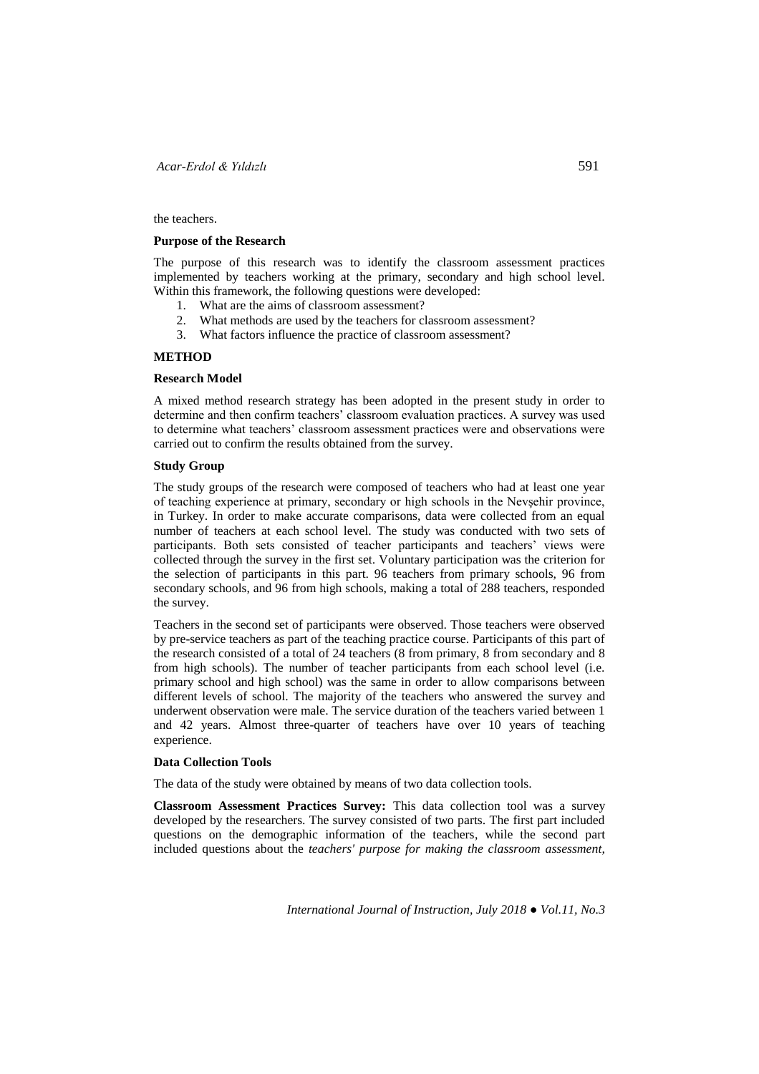the teachers.

#### **Purpose of the Research**

The purpose of this research was to identify the classroom assessment practices implemented by teachers working at the primary, secondary and high school level. Within this framework, the following questions were developed:

- 1. What are the aims of classroom assessment?
- 2. What methods are used by the teachers for classroom assessment?
- 3. What factors influence the practice of classroom assessment?

### **METHOD**

#### **Research Model**

A mixed method research strategy has been adopted in the present study in order to determine and then confirm teachers' classroom evaluation practices. A survey was used to determine what teachers' classroom assessment practices were and observations were carried out to confirm the results obtained from the survey.

#### **Study Group**

The study groups of the research were composed of teachers who had at least one year of teaching experience at primary, secondary or high schools in the Nevşehir province, in Turkey. In order to make accurate comparisons, data were collected from an equal number of teachers at each school level. The study was conducted with two sets of participants. Both sets consisted of teacher participants and teachers' views were collected through the survey in the first set. Voluntary participation was the criterion for the selection of participants in this part. 96 teachers from primary schools, 96 from secondary schools, and 96 from high schools, making a total of 288 teachers, responded the survey.

Teachers in the second set of participants were observed. Those teachers were observed by pre-service teachers as part of the teaching practice course. Participants of this part of the research consisted of a total of 24 teachers (8 from primary, 8 from secondary and 8 from high schools). The number of teacher participants from each school level (i.e. primary school and high school) was the same in order to allow comparisons between different levels of school. The majority of the teachers who answered the survey and underwent observation were male. The service duration of the teachers varied between 1 and 42 years. Almost three-quarter of teachers have over 10 years of teaching experience.

### **Data Collection Tools**

The data of the study were obtained by means of two data collection tools.

**Classroom Assessment Practices Survey:** This data collection tool was a survey developed by the researchers. The survey consisted of two parts. The first part included questions on the demographic information of the teachers, while the second part included questions about the *teachers' purpose for making the classroom assessment,*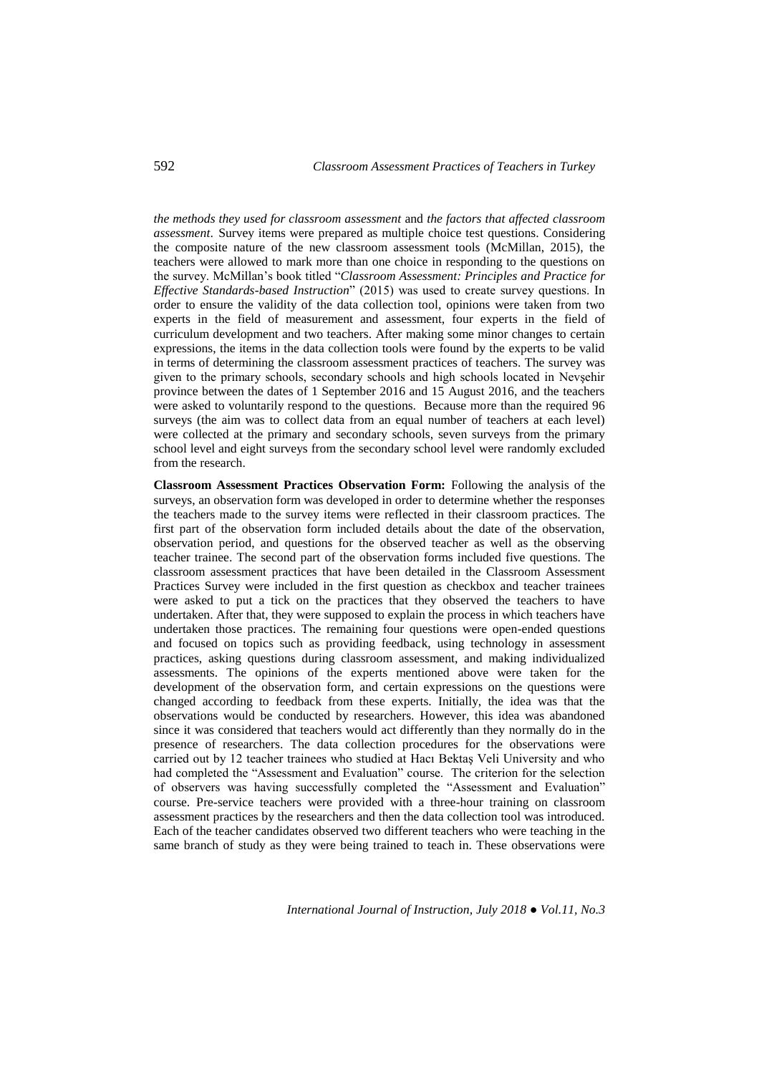*the methods they used for classroom assessment* and *the factors that affected classroom assessment*. Survey items were prepared as multiple choice test questions. Considering the composite nature of the new classroom assessment tools (McMillan, 2015), the teachers were allowed to mark more than one choice in responding to the questions on the survey. McMillan's book titled "*Classroom Assessment: Principles and Practice for Effective Standards-based Instruction*" (2015) was used to create survey questions. In order to ensure the validity of the data collection tool, opinions were taken from two experts in the field of measurement and assessment, four experts in the field of curriculum development and two teachers. After making some minor changes to certain expressions, the items in the data collection tools were found by the experts to be valid in terms of determining the classroom assessment practices of teachers. The survey was given to the primary schools, secondary schools and high schools located in Nevşehir province between the dates of 1 September 2016 and 15 August 2016, and the teachers were asked to voluntarily respond to the questions. Because more than the required 96 surveys (the aim was to collect data from an equal number of teachers at each level) were collected at the primary and secondary schools, seven surveys from the primary school level and eight surveys from the secondary school level were randomly excluded from the research.

**Classroom Assessment Practices Observation Form:** Following the analysis of the surveys, an observation form was developed in order to determine whether the responses the teachers made to the survey items were reflected in their classroom practices. The first part of the observation form included details about the date of the observation, observation period, and questions for the observed teacher as well as the observing teacher trainee. The second part of the observation forms included five questions. The classroom assessment practices that have been detailed in the Classroom Assessment Practices Survey were included in the first question as checkbox and teacher trainees were asked to put a tick on the practices that they observed the teachers to have undertaken. After that, they were supposed to explain the process in which teachers have undertaken those practices. The remaining four questions were open-ended questions and focused on topics such as providing feedback, using technology in assessment practices, asking questions during classroom assessment, and making individualized assessments. The opinions of the experts mentioned above were taken for the development of the observation form, and certain expressions on the questions were changed according to feedback from these experts. Initially, the idea was that the observations would be conducted by researchers. However, this idea was abandoned since it was considered that teachers would act differently than they normally do in the presence of researchers. The data collection procedures for the observations were carried out by 12 teacher trainees who studied at Hacı Bektaş Veli University and who had completed the "Assessment and Evaluation" course. The criterion for the selection of observers was having successfully completed the "Assessment and Evaluation" course. Pre-service teachers were provided with a three-hour training on classroom assessment practices by the researchers and then the data collection tool was introduced. Each of the teacher candidates observed two different teachers who were teaching in the same branch of study as they were being trained to teach in. These observations were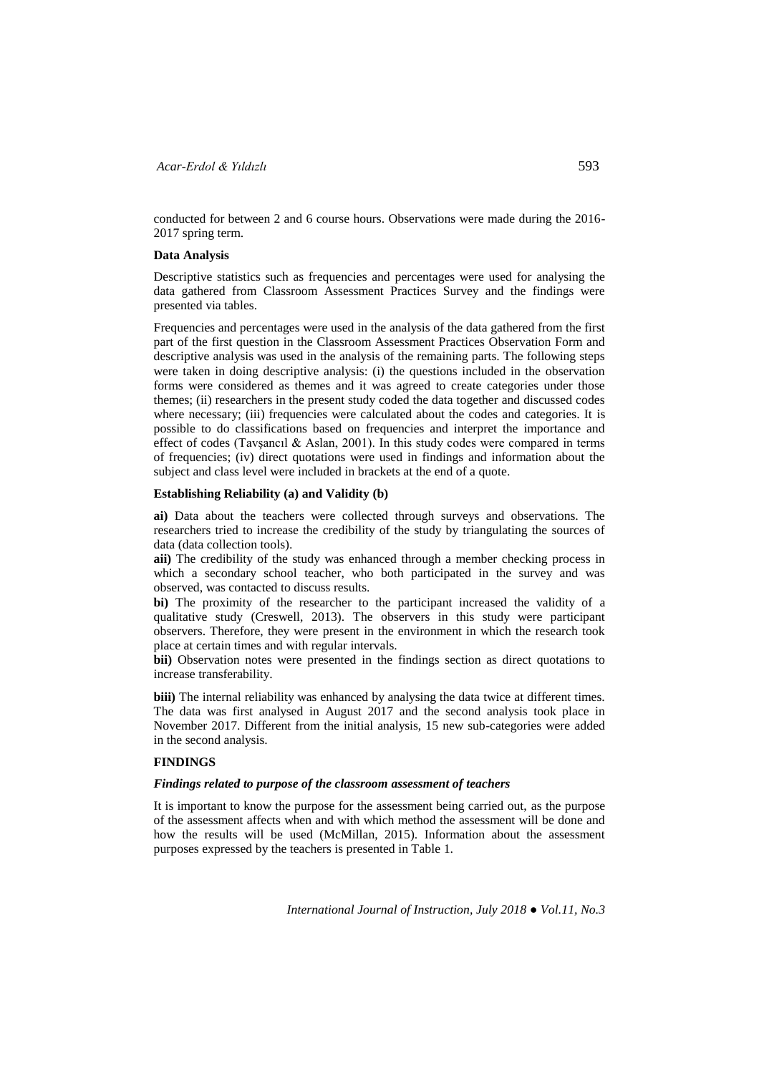conducted for between 2 and 6 course hours. Observations were made during the 2016- 2017 spring term.

### **Data Analysis**

Descriptive statistics such as frequencies and percentages were used for analysing the data gathered from Classroom Assessment Practices Survey and the findings were presented via tables.

Frequencies and percentages were used in the analysis of the data gathered from the first part of the first question in the Classroom Assessment Practices Observation Form and descriptive analysis was used in the analysis of the remaining parts. The following steps were taken in doing descriptive analysis: (i) the questions included in the observation forms were considered as themes and it was agreed to create categories under those themes; (ii) researchers in the present study coded the data together and discussed codes where necessary; (iii) frequencies were calculated about the codes and categories. It is possible to do classifications based on frequencies and interpret the importance and effect of codes (Tavşancıl & Aslan, 2001). In this study codes were compared in terms of frequencies; (iv) direct quotations were used in findings and information about the subject and class level were included in brackets at the end of a quote.

### **Establishing Reliability (a) and Validity (b)**

**ai)** Data about the teachers were collected through surveys and observations. The researchers tried to increase the credibility of the study by triangulating the sources of data (data collection tools).

**aii)** The credibility of the study was enhanced through a member checking process in which a secondary school teacher, who both participated in the survey and was observed, was contacted to discuss results.

**bi)** The proximity of the researcher to the participant increased the validity of a qualitative study (Creswell, 2013). The observers in this study were participant observers. Therefore, they were present in the environment in which the research took place at certain times and with regular intervals.

**bii)** Observation notes were presented in the findings section as direct quotations to increase transferability.

**biii**) The internal reliability was enhanced by analysing the data twice at different times. The data was first analysed in August 2017 and the second analysis took place in November 2017. Different from the initial analysis, 15 new sub-categories were added in the second analysis.

### **FINDINGS**

### *Findings related to purpose of the classroom assessment of teachers*

It is important to know the purpose for the assessment being carried out, as the purpose of the assessment affects when and with which method the assessment will be done and how the results will be used (McMillan, 2015). Information about the assessment purposes expressed by the teachers is presented in Table 1.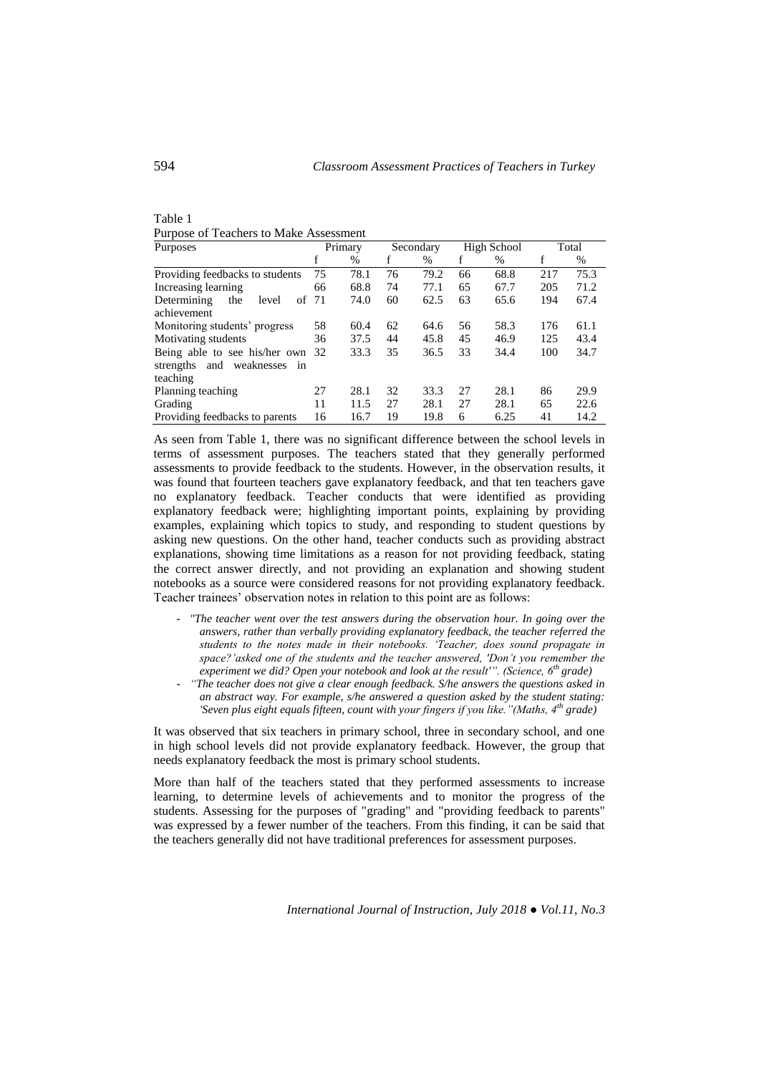Table 1 Purpose of Teachers to Make Assessment

| Purposes                             | Primary |      |    | Secondary |    | High School |     | Total |  |
|--------------------------------------|---------|------|----|-----------|----|-------------|-----|-------|--|
|                                      |         | %    |    | $\%$      | f  | %           | f   | $\%$  |  |
| Providing feedbacks to students      | 75      | 78.1 | 76 | 79.2      | 66 | 68.8        | 217 | 75.3  |  |
| Increasing learning                  | 66      | 68.8 | 74 | 77.1      | 65 | 67.7        | 205 | 71.2  |  |
| the<br>of<br>Determining<br>level    | -71     | 74.0 | 60 | 62.5      | 63 | 65.6        | 194 | 67.4  |  |
| achievement                          |         |      |    |           |    |             |     |       |  |
| Monitoring students' progress        | 58      | 60.4 | 62 | 64.6      | 56 | 58.3        | 176 | 61.1  |  |
| Motivating students                  | 36      | 37.5 | 44 | 45.8      | 45 | 46.9        | 125 | 43.4  |  |
| Being able to see his/her own        | 32      | 33.3 | 35 | 36.5      | 33 | 34.4        | 100 | 34.7  |  |
| weaknesses<br>and<br>strengths<br>1n |         |      |    |           |    |             |     |       |  |
| teaching                             |         |      |    |           |    |             |     |       |  |
| Planning teaching                    | 27      | 28.1 | 32 | 33.3      | 27 | 28.1        | 86  | 29.9  |  |
| Grading                              | 11      | 11.5 | 27 | 28.1      | 27 | 28.1        | 65  | 22.6  |  |
| Providing feedbacks to parents       | 16      | 16.7 | 19 | 19.8      | 6  | 6.25        | 41  | 14.2  |  |

As seen from Table 1, there was no significant difference between the school levels in terms of assessment purposes. The teachers stated that they generally performed assessments to provide feedback to the students. However, in the observation results, it was found that fourteen teachers gave explanatory feedback, and that ten teachers gave no explanatory feedback. Teacher conducts that were identified as providing explanatory feedback were; highlighting important points, explaining by providing examples, explaining which topics to study, and responding to student questions by asking new questions. On the other hand, teacher conducts such as providing abstract explanations, showing time limitations as a reason for not providing feedback, stating the correct answer directly, and not providing an explanation and showing student notebooks as a source were considered reasons for not providing explanatory feedback. Teacher trainees' observation notes in relation to this point are as follows:

- *- "The teacher went over the test answers during the observation hour. In going over the answers, rather than verbally providing explanatory feedback, the teacher referred the students to the notes made in their notebooks. 'Teacher, does sound propagate in space?'asked one of the students and the teacher answered, 'Don't you remember the experiment we did? Open your notebook and look at the result'". (Science, 6th grade)*
- *- "The teacher does not give a clear enough feedback. S/he answers the questions asked in an abstract way. For example, s/he answered a question asked by the student stating: 'Seven plus eight equals fifteen, count with your fingers if you like."(Maths, 4th grade)*

It was observed that six teachers in primary school, three in secondary school, and one in high school levels did not provide explanatory feedback. However, the group that needs explanatory feedback the most is primary school students.

More than half of the teachers stated that they performed assessments to increase learning, to determine levels of achievements and to monitor the progress of the students. Assessing for the purposes of "grading" and "providing feedback to parents" was expressed by a fewer number of the teachers. From this finding, it can be said that the teachers generally did not have traditional preferences for assessment purposes.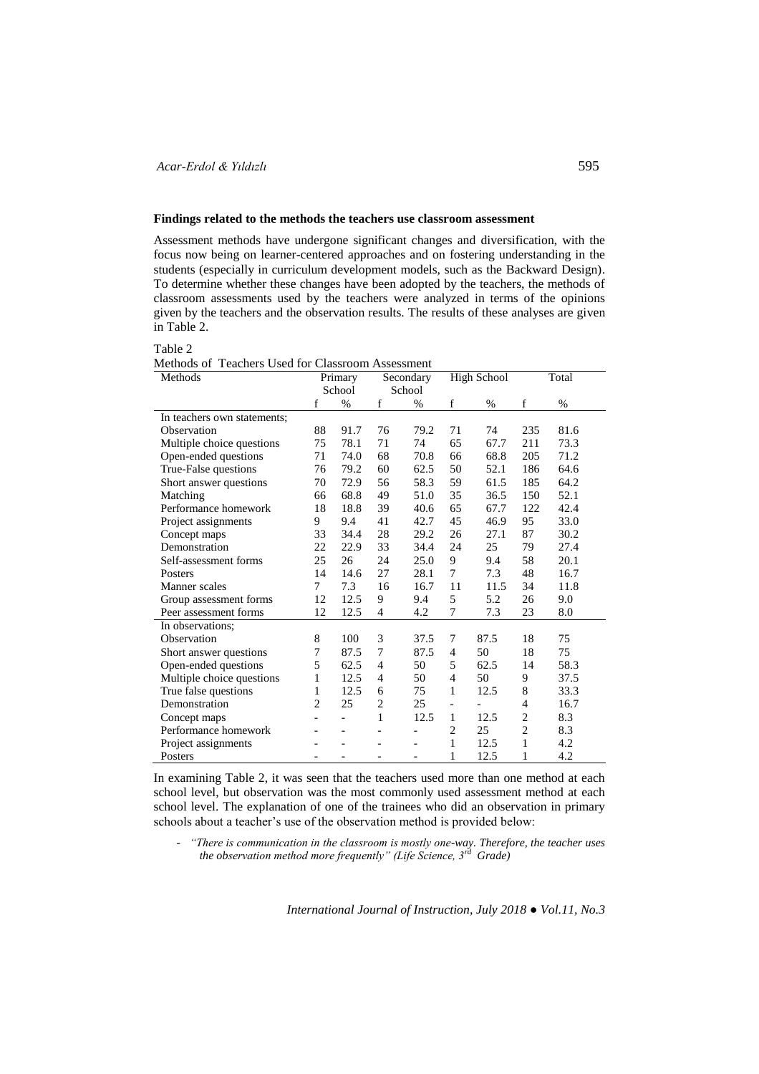### **Findings related to the methods the teachers use classroom assessment**

Assessment methods have undergone significant changes and diversification, with the focus now being on learner-centered approaches and on fostering understanding in the students (especially in curriculum development models, such as the Backward Design). To determine whether these changes have been adopted by the teachers, the methods of classroom assessments used by the teachers were analyzed in terms of the opinions given by the teachers and the observation results. The results of these analyses are given in Table 2.

Table 2

|  |  |  |  | Methods of Teachers Used for Classroom Assessment |
|--|--|--|--|---------------------------------------------------|
|--|--|--|--|---------------------------------------------------|

| Methods                     |                | Primary |                | Secondary |                          | <b>High School</b> |                | Total |  |
|-----------------------------|----------------|---------|----------------|-----------|--------------------------|--------------------|----------------|-------|--|
|                             | School         |         |                | School    |                          |                    |                |       |  |
|                             | f              | $\%$    | f              | $\%$      | f                        | $\%$               | f              | $\%$  |  |
| In teachers own statements; |                |         |                |           |                          |                    |                |       |  |
| Observation                 | 88             | 91.7    | 76             | 79.2      | 71                       | 74                 | 235            | 81.6  |  |
| Multiple choice questions   | 75             | 78.1    | 71             | 74        | 65                       | 67.7               | 211            | 73.3  |  |
| Open-ended questions        | 71             | 74.0    | 68             | 70.8      | 66                       | 68.8               | 205            | 71.2  |  |
| True-False questions        | 76             | 79.2    | 60             | 62.5      | 50                       | 52.1               | 186            | 64.6  |  |
| Short answer questions      | 70             | 72.9    | 56             | 58.3      | 59                       | 61.5               | 185            | 64.2  |  |
| Matching                    | 66             | 68.8    | 49             | 51.0      | 35                       | 36.5               | 150            | 52.1  |  |
| Performance homework        | 18             | 18.8    | 39             | 40.6      | 65                       | 67.7               | 122            | 42.4  |  |
| Project assignments         | 9              | 9.4     | 41             | 42.7      | 45                       | 46.9               | 95             | 33.0  |  |
| Concept maps                | 33             | 34.4    | 28             | 29.2      | 26                       | 27.1               | 87             | 30.2  |  |
| Demonstration               | 22             | 22.9    | 33             | 34.4      | 24                       | 25                 | 79             | 27.4  |  |
| Self-assessment forms       | 25             | 26      | 24             | 25.0      | 9                        | 9.4                | 58             | 20.1  |  |
| Posters                     | 14             | 14.6    | 27             | 28.1      | 7                        | 7.3                | 48             | 16.7  |  |
| Manner scales               | 7              | 7.3     | 16             | 16.7      | 11                       | 11.5               | 34             | 11.8  |  |
| Group assessment forms      | 12             | 12.5    | 9              | 9.4       | 5                        | 5.2                | 26             | 9.0   |  |
| Peer assessment forms       | 12             | 12.5    | 4              | 4.2       | 7                        | 7.3                | 23             | 8.0   |  |
| In observations:            |                |         |                |           |                          |                    |                |       |  |
| Observation                 | 8              | 100     | 3              | 37.5      | 7                        | 87.5               | 18             | 75    |  |
| Short answer questions      | 7              | 87.5    | 7              | 87.5      | $\overline{4}$           | 50                 | 18             | 75    |  |
| Open-ended questions        | 5              | 62.5    | 4              | 50        | 5                        | 62.5               | 14             | 58.3  |  |
| Multiple choice questions   | 1              | 12.5    | $\overline{4}$ | 50        | $\overline{4}$           | 50                 | 9              | 37.5  |  |
| True false questions        | 1              | 12.5    | 6              | 75        | 1                        | 12.5               | 8              | 33.3  |  |
| Demonstration               | $\overline{c}$ | 25      | 2              | 25        | $\overline{\phantom{0}}$ |                    | $\overline{4}$ | 16.7  |  |
| Concept maps                |                |         | 1              | 12.5      | 1                        | 12.5               | $\overline{c}$ | 8.3   |  |
| Performance homework        |                |         |                |           | $\overline{2}$           | 25                 | $\overline{2}$ | 8.3   |  |
| Project assignments         |                |         |                |           | 1                        | 12.5               | 1              | 4.2   |  |
| Posters                     |                |         |                |           | 1                        | 12.5               | 1              | 4.2   |  |

In examining Table 2, it was seen that the teachers used more than one method at each school level, but observation was the most commonly used assessment method at each school level. The explanation of one of the trainees who did an observation in primary schools about a teacher's use of the observation method is provided below:

*- "There is communication in the classroom is mostly one-way. Therefore, the teacher uses the observation method more frequently" (Life Science, 3rd Grade)*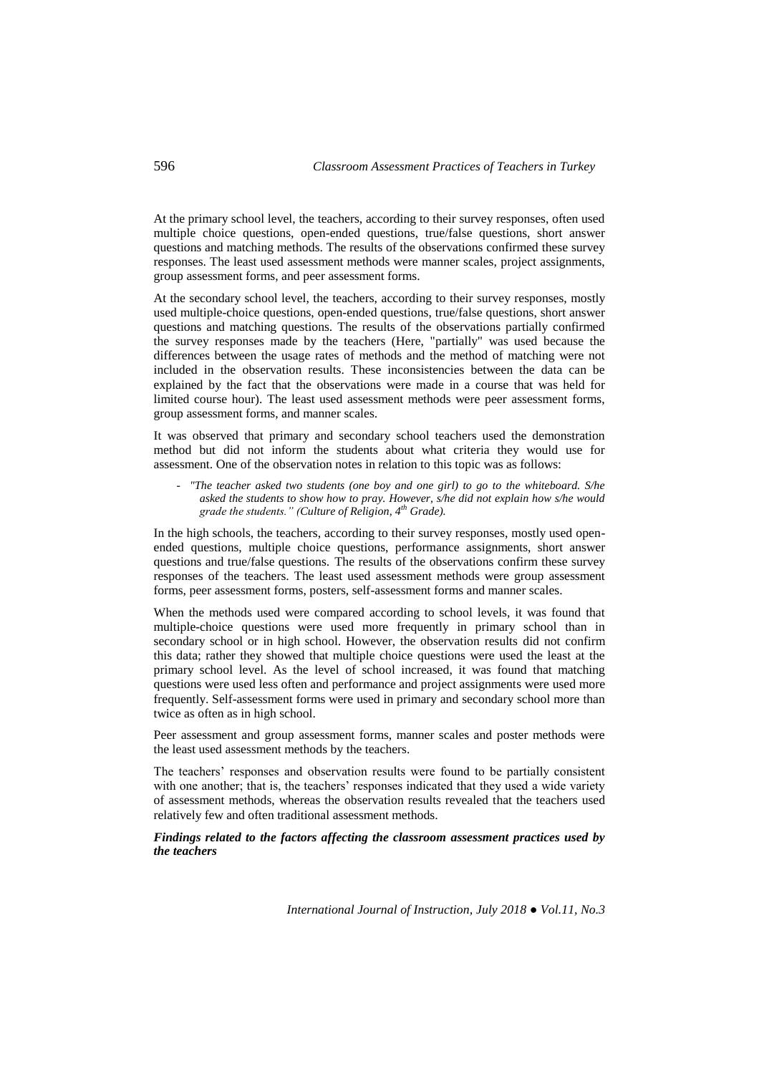At the primary school level, the teachers, according to their survey responses, often used multiple choice questions, open-ended questions, true/false questions, short answer questions and matching methods. The results of the observations confirmed these survey responses. The least used assessment methods were manner scales, project assignments, group assessment forms, and peer assessment forms.

At the secondary school level, the teachers, according to their survey responses, mostly used multiple-choice questions, open-ended questions, true/false questions, short answer questions and matching questions. The results of the observations partially confirmed the survey responses made by the teachers (Here, "partially" was used because the differences between the usage rates of methods and the method of matching were not included in the observation results. These inconsistencies between the data can be explained by the fact that the observations were made in a course that was held for limited course hour). The least used assessment methods were peer assessment forms, group assessment forms, and manner scales.

It was observed that primary and secondary school teachers used the demonstration method but did not inform the students about what criteria they would use for assessment. One of the observation notes in relation to this topic was as follows:

*- "The teacher asked two students (one boy and one girl) to go to the whiteboard. S/he asked the students to show how to pray. However, s/he did not explain how s/he would grade the students." (Culture of Religion, 4th Grade).*

In the high schools, the teachers, according to their survey responses, mostly used openended questions, multiple choice questions, performance assignments, short answer questions and true/false questions. The results of the observations confirm these survey responses of the teachers. The least used assessment methods were group assessment forms, peer assessment forms, posters, self-assessment forms and manner scales.

When the methods used were compared according to school levels, it was found that multiple-choice questions were used more frequently in primary school than in secondary school or in high school. However, the observation results did not confirm this data; rather they showed that multiple choice questions were used the least at the primary school level. As the level of school increased, it was found that matching questions were used less often and performance and project assignments were used more frequently. Self-assessment forms were used in primary and secondary school more than twice as often as in high school.

Peer assessment and group assessment forms, manner scales and poster methods were the least used assessment methods by the teachers.

The teachers' responses and observation results were found to be partially consistent with one another; that is, the teachers' responses indicated that they used a wide variety of assessment methods, whereas the observation results revealed that the teachers used relatively few and often traditional assessment methods.

### *Findings related to the factors affecting the classroom assessment practices used by the teachers*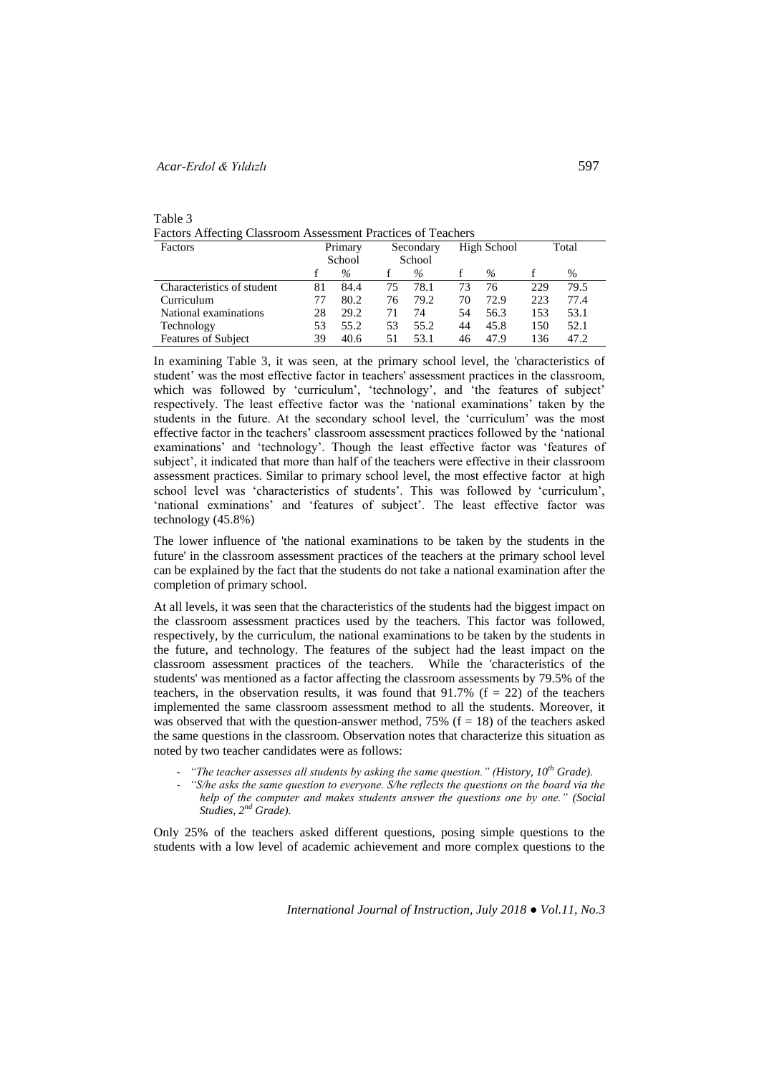| able |  |
|------|--|
|------|--|

Factors Affecting Classroom Assessment Practices of Teachers

| Factors                    |    | Primary<br>School |    | Secondary<br>School |    | High School |     | Total |  |
|----------------------------|----|-------------------|----|---------------------|----|-------------|-----|-------|--|
|                            |    | $\%$              |    | $\%$                |    | $\%$        |     | $\%$  |  |
| Characteristics of student | 81 | 84.4              | 75 | 78.1                | 73 | 76          | 229 | 79.5  |  |
| Curriculum                 | 77 | 80.2              | 76 | 79.2                | 70 | 72.9        | 223 | 77.4  |  |
| National examinations      | 28 | 29.2              | 71 | 74                  | 54 | 56.3        | 153 | 53.1  |  |
| Technology                 | 53 | 55.2              | 53 | 55.2                | 44 | 45.8        | 150 | 52.1  |  |
| <b>Features of Subject</b> | 39 | 40.6              | 51 | 53.1                | 46 | 479         | 136 | 47 Z  |  |

In examining Table 3, it was seen, at the primary school level, the 'characteristics of student' was the most effective factor in teachers' assessment practices in the classroom, which was followed by 'curriculum', 'technology', and 'the features of subject' respectively. The least effective factor was the 'national examinations' taken by the students in the future. At the secondary school level, the 'curriculum' was the most effective factor in the teachers' classroom assessment practices followed by the 'national examinations' and 'technology'. Though the least effective factor was 'features of subject', it indicated that more than half of the teachers were effective in their classroom assessment practices. Similar to primary school level, the most effective factor at high school level was 'characteristics of students'. This was followed by 'curriculum', 'national exminations' and 'features of subject'. The least effective factor was technology (45.8%)

The lower influence of 'the national examinations to be taken by the students in the future' in the classroom assessment practices of the teachers at the primary school level can be explained by the fact that the students do not take a national examination after the completion of primary school.

At all levels, it was seen that the characteristics of the students had the biggest impact on the classroom assessment practices used by the teachers. This factor was followed, respectively, by the curriculum, the national examinations to be taken by the students in the future, and technology. The features of the subject had the least impact on the classroom assessment practices of the teachers. While the 'characteristics of the students' was mentioned as a factor affecting the classroom assessments by 79.5% of the teachers, in the observation results, it was found that  $91.7\%$  (f = 22) of the teachers implemented the same classroom assessment method to all the students. Moreover, it was observed that with the question-answer method,  $75\%$  ( $f = 18$ ) of the teachers asked the same questions in the classroom. Observation notes that characterize this situation as noted by two teacher candidates were as follows:

- *- "The teacher assesses all students by asking the same question." (History, 10th Grade).*
- *- "S/he asks the same question to everyone. S/he reflects the questions on the board via the help of the computer and makes students answer the questions one by one." (Social Studies, 2nd Grade).*

Only 25% of the teachers asked different questions, posing simple questions to the students with a low level of academic achievement and more complex questions to the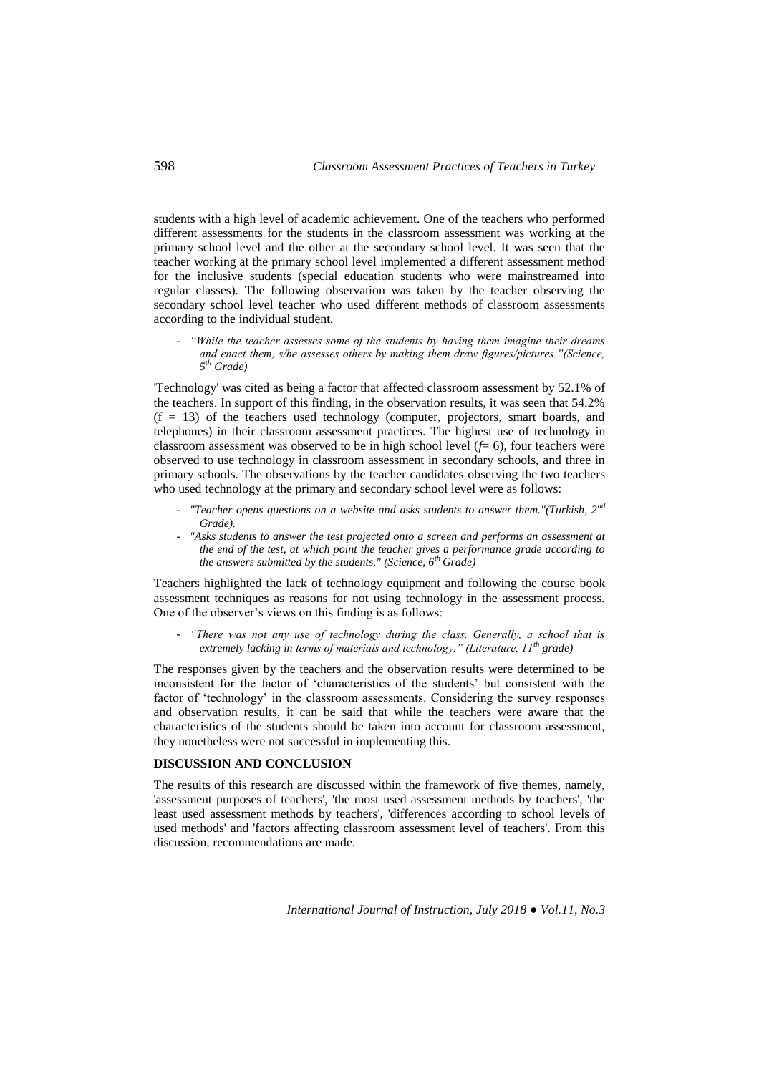students with a high level of academic achievement. One of the teachers who performed different assessments for the students in the classroom assessment was working at the primary school level and the other at the secondary school level. It was seen that the teacher working at the primary school level implemented a different assessment method for the inclusive students (special education students who were mainstreamed into regular classes). The following observation was taken by the teacher observing the secondary school level teacher who used different methods of classroom assessments according to the individual student.

*- "While the teacher assesses some of the students by having them imagine their dreams and enact them, s/he assesses others by making them draw figures/pictures."(Science, 5 th Grade)*

'Technology' was cited as being a factor that affected classroom assessment by 52.1% of the teachers. In support of this finding, in the observation results, it was seen that 54.2%  $(f = 13)$  of the teachers used technology (computer, projectors, smart boards, and telephones) in their classroom assessment practices. The highest use of technology in classroom assessment was observed to be in high school level  $(f=6)$ , four teachers were observed to use technology in classroom assessment in secondary schools, and three in primary schools. The observations by the teacher candidates observing the two teachers who used technology at the primary and secondary school level were as follows:

- *"Teacher opens questions on a website and asks students to answer them."(Turkish, 2nd Grade).*
- *"Asks students to answer the test projected onto a screen and performs an assessment at the end of the test, at which point the teacher gives a performance grade according to the answers submitted by the students." (Science, 6th Grade)*

Teachers highlighted the lack of technology equipment and following the course book assessment techniques as reasons for not using technology in the assessment process. One of the observer's views on this finding is as follows:

- *"There was not any use of technology during the class. Generally, a school that is extremely lacking in terms of materials and technology." (Literature, 11th grade)*

The responses given by the teachers and the observation results were determined to be inconsistent for the factor of 'characteristics of the students' but consistent with the factor of 'technology' in the classroom assessments. Considering the survey responses and observation results, it can be said that while the teachers were aware that the characteristics of the students should be taken into account for classroom assessment, they nonetheless were not successful in implementing this.

## **DISCUSSION AND CONCLUSION**

The results of this research are discussed within the framework of five themes, namely, 'assessment purposes of teachers', 'the most used assessment methods by teachers', 'the least used assessment methods by teachers', 'differences according to school levels of used methods' and 'factors affecting classroom assessment level of teachers'. From this discussion, recommendations are made.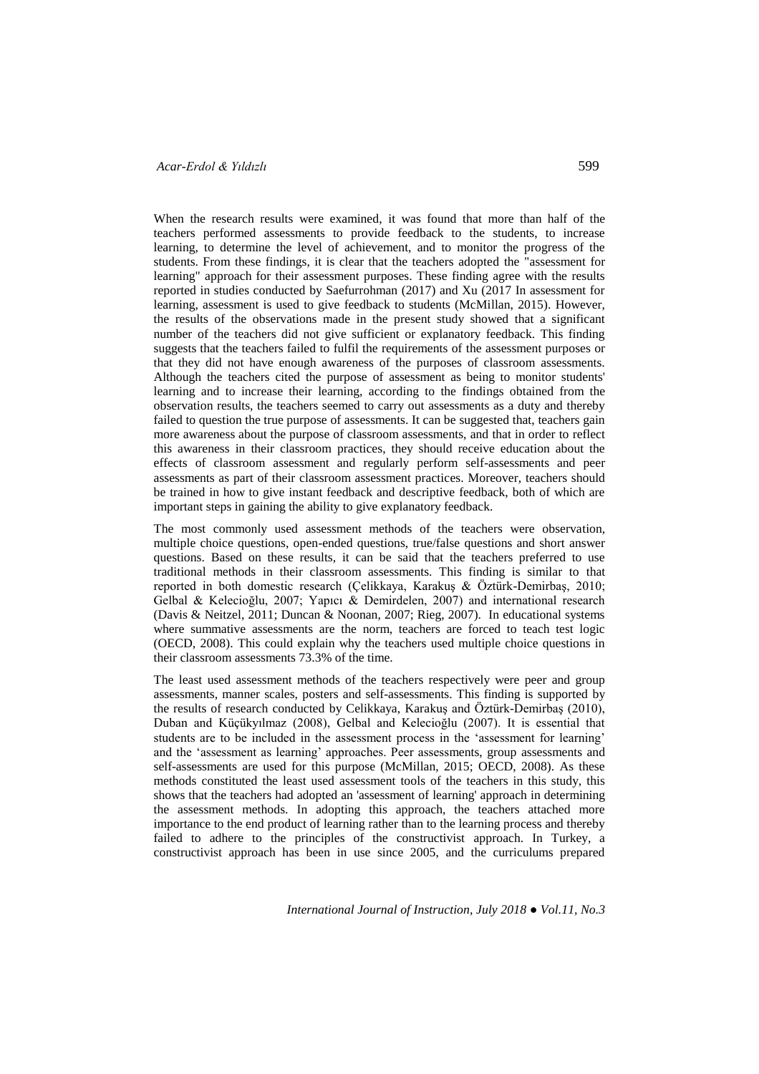# *Acar-Erdol & Yıldızlı* 599

When the research results were examined, it was found that more than half of the teachers performed assessments to provide feedback to the students, to increase learning, to determine the level of achievement, and to monitor the progress of the students. From these findings, it is clear that the teachers adopted the "assessment for learning" approach for their assessment purposes. These finding agree with the results reported in studies conducted by Saefurrohman (2017) and Xu (2017 In assessment for learning, assessment is used to give feedback to students (McMillan, 2015). However, the results of the observations made in the present study showed that a significant number of the teachers did not give sufficient or explanatory feedback. This finding suggests that the teachers failed to fulfil the requirements of the assessment purposes or that they did not have enough awareness of the purposes of classroom assessments. Although the teachers cited the purpose of assessment as being to monitor students' learning and to increase their learning, according to the findings obtained from the observation results, the teachers seemed to carry out assessments as a duty and thereby failed to question the true purpose of assessments. It can be suggested that, teachers gain more awareness about the purpose of classroom assessments, and that in order to reflect this awareness in their classroom practices, they should receive education about the effects of classroom assessment and regularly perform self-assessments and peer assessments as part of their classroom assessment practices. Moreover, teachers should be trained in how to give instant feedback and descriptive feedback, both of which are important steps in gaining the ability to give explanatory feedback.

The most commonly used assessment methods of the teachers were observation, multiple choice questions, open-ended questions, true/false questions and short answer questions. Based on these results, it can be said that the teachers preferred to use traditional methods in their classroom assessments. This finding is similar to that reported in both domestic research (Çelikkaya, Karakuş & Öztürk-Demirbaş, 2010; Gelbal & Kelecioğlu, 2007; Yapıcı & Demirdelen, 2007) and international research (Davis & Neitzel, 2011; Duncan & Noonan, 2007; Rieg, 2007). In educational systems where summative assessments are the norm, teachers are forced to teach test logic (OECD, 2008). This could explain why the teachers used multiple choice questions in their classroom assessments 73.3% of the time.

The least used assessment methods of the teachers respectively were peer and group assessments, manner scales, posters and self-assessments. This finding is supported by the results of research conducted by Celikkaya, Karakuş and Öztürk-Demirbaş (2010), Duban and Küçükyılmaz (2008), Gelbal and Kelecioğlu (2007). It is essential that students are to be included in the assessment process in the 'assessment for learning' and the 'assessment as learning' approaches. Peer assessments, group assessments and self-assessments are used for this purpose (McMillan, 2015; OECD, 2008). As these methods constituted the least used assessment tools of the teachers in this study, this shows that the teachers had adopted an 'assessment of learning' approach in determining the assessment methods. In adopting this approach, the teachers attached more importance to the end product of learning rather than to the learning process and thereby failed to adhere to the principles of the constructivist approach. In Turkey, a constructivist approach has been in use since 2005, and the curriculums prepared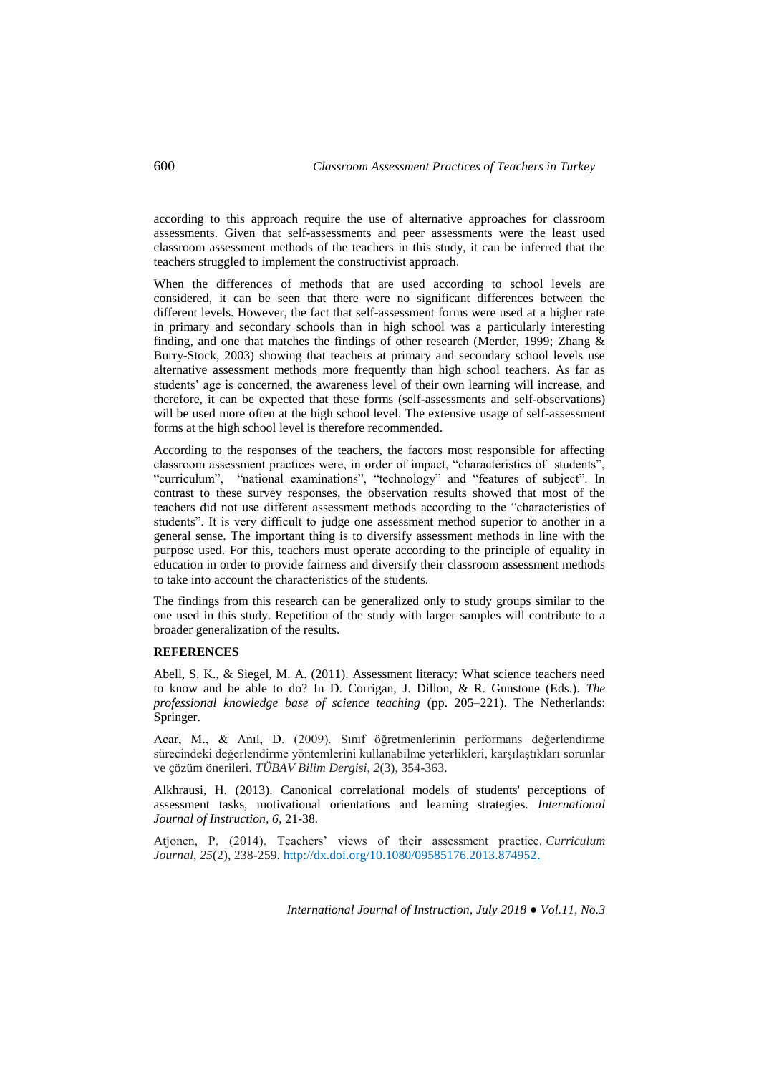according to this approach require the use of alternative approaches for classroom assessments. Given that self-assessments and peer assessments were the least used classroom assessment methods of the teachers in this study, it can be inferred that the teachers struggled to implement the constructivist approach.

When the differences of methods that are used according to school levels are considered, it can be seen that there were no significant differences between the different levels. However, the fact that self-assessment forms were used at a higher rate in primary and secondary schools than in high school was a particularly interesting finding, and one that matches the findings of other research (Mertler, 1999; Zhang & Burry-Stock, 2003) showing that teachers at primary and secondary school levels use alternative assessment methods more frequently than high school teachers. As far as students' age is concerned, the awareness level of their own learning will increase, and therefore, it can be expected that these forms (self-assessments and self-observations) will be used more often at the high school level. The extensive usage of self-assessment forms at the high school level is therefore recommended.

According to the responses of the teachers, the factors most responsible for affecting classroom assessment practices were, in order of impact, "characteristics of students", "curriculum", "national examinations", "technology" and "features of subject". In contrast to these survey responses, the observation results showed that most of the teachers did not use different assessment methods according to the "characteristics of students". It is very difficult to judge one assessment method superior to another in a general sense. The important thing is to diversify assessment methods in line with the purpose used. For this, teachers must operate according to the principle of equality in education in order to provide fairness and diversify their classroom assessment methods to take into account the characteristics of the students.

The findings from this research can be generalized only to study groups similar to the one used in this study. Repetition of the study with larger samples will contribute to a broader generalization of the results.

# **REFERENCES**

Abell, S. K., & Siegel, M. A. (2011). Assessment literacy: What science teachers need to know and be able to do? In D. Corrigan, J. Dillon, & R. Gunstone (Eds.). *The professional knowledge base of science teaching* (pp. 205–221). The Netherlands: Springer.

Acar, M., & Anıl, D. (2009). Sınıf öğretmenlerinin performans değerlendirme sürecindeki değerlendirme yöntemlerini kullanabilme yeterlikleri, karşılaştıkları sorunlar ve çözüm önerileri. *TÜBAV Bilim Dergisi*, *2*(3), 354-363.

Alkhrausi, H. (2013). Canonical correlational models of students' perceptions of assessment tasks, motivational orientations and learning strategies. *International Journal of Instruction, 6*, 21-38*.*

Atjonen, P. (2014). Teachers' views of their assessment practice. *Curriculum Journal*, *25*(2), 238-259. [http://dx.doi.org/10.1080/09585176.2013.874952.](http://dx.doi.org/10.1080/09585176.2013.874952)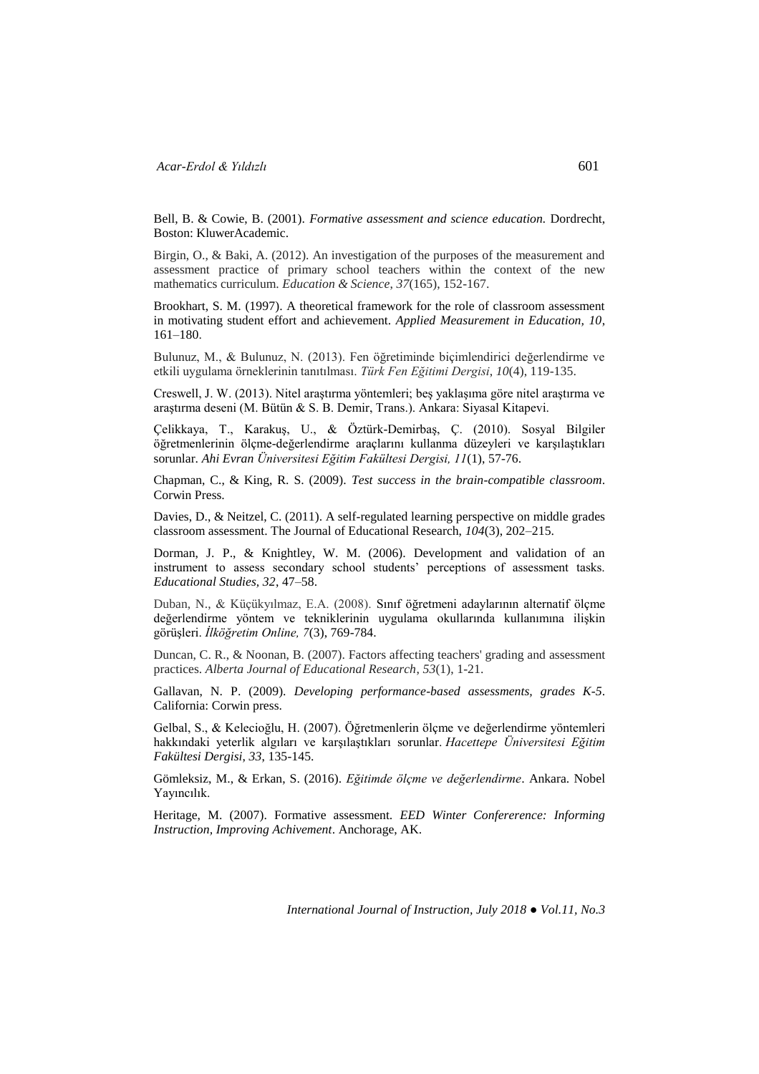Bell, B. & Cowie, B. (2001). *Formative assessment and science education.* Dordrecht, Boston: KluwerAcademic.

Birgin, O., & Baki, A. (2012). An investigation of the purposes of the measurement and assessment practice of primary school teachers within the context of the new mathematics curriculum. *Education & Science*, *37*(165), 152-167.

Brookhart, S. M. (1997). A theoretical framework for the role of classroom assessment in motivating student effort and achievement. *Applied Measurement in Education, 10*, 161–180.

Bulunuz, M., & Bulunuz, N. (2013). Fen öğretiminde biçimlendirici değerlendirme ve etkili uygulama örneklerinin tanıtılması. *Türk Fen Eğitimi Dergisi*, *10*(4), 119-135.

Creswell, J. W. (2013). Nitel araştırma yöntemleri; beş yaklaşıma göre nitel araştırma ve araştırma deseni (M. Bütün & S. B. Demir, Trans.). Ankara: Siyasal Kitapevi.

Çelikkaya, T., Karakuş, U., & Öztürk-Demirbaş, Ç. (2010). Sosyal Bilgiler öğretmenlerinin ölçme-değerlendirme araçlarını kullanma düzeyleri ve karşılaştıkları sorunlar. *Ahi Evran Üniversitesi Eğitim Fakültesi Dergisi, 11*(1), 57-76.

Chapman, C., & King, R. S. (2009). *Test success in the brain-compatible classroom*. Corwin Press.

Davies, D., & Neitzel, C. (2011). A self-regulated learning perspective on middle grades classroom assessment. The Journal of Educational Research, *104*(3), 202–215.

Dorman, J. P., & Knightley, W. M. (2006). Development and validation of an instrument to assess secondary school students' perceptions of assessment tasks. *Educational Studies, 32*, 47–58.

Duban, N., & Küçükyılmaz, E.A. (2008). Sınıf öğretmeni adaylarının alternatif ölçme değerlendirme yöntem ve tekniklerinin uygulama okullarında kullanımına ilişkin görüşleri. *İlköğretim Online, 7*(3), 769-784.

Duncan, C. R., & Noonan, B. (2007). Factors affecting teachers' grading and assessment practices. *Alberta Journal of Educational Research*, *53*(1), 1-21.

Gallavan, N. P. (2009). *Developing performance-based assessments, grades K-5*. California: Corwin press.

Gelbal, S., & Kelecioğlu, H. (2007). Öğretmenlerin ölçme ve değerlendirme yöntemleri hakkındaki yeterlik algıları ve karşılaştıkları sorunlar. *Hacettepe Üniversitesi Eğitim Fakültesi Dergisi*, *33*, 135-145.

Gömleksiz, M., & Erkan, S. (2016). *Eğitimde ölçme ve değerlendirme*. Ankara. Nobel Yayıncılık.

Heritage, M. (2007). Formative assessment. *EED Winter Confererence: Informing Instruction, Improving Achivement*. Anchorage, AK.